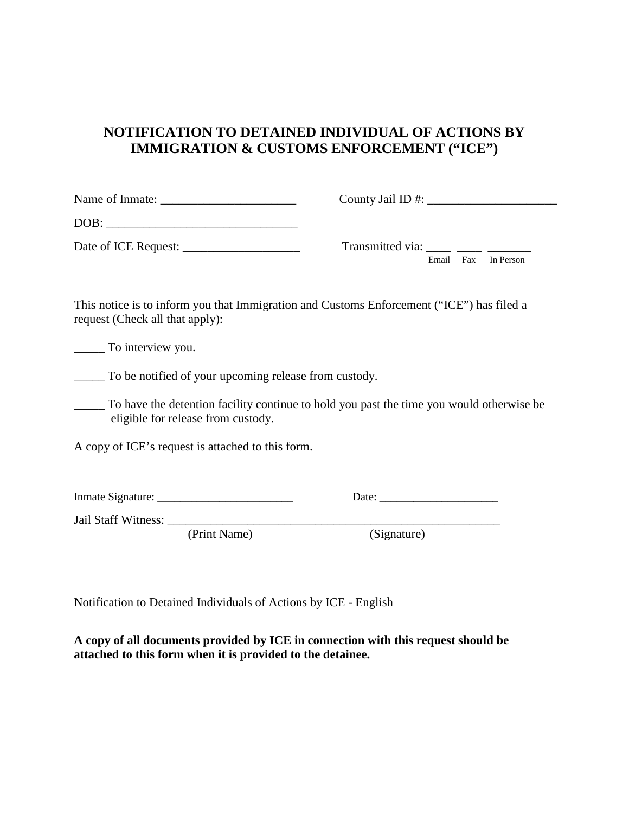#### **NOTIFICATION TO DETAINED INDIVIDUAL OF ACTIONS BY IMMIGRATION & CUSTOMS ENFORCEMENT ("ICE")**

|      | County Jail ID $\#$ :     |
|------|---------------------------|
| DOB: |                           |
|      | Transmitted via:          |
|      | Fax<br>In Person<br>Email |

This notice is to inform you that Immigration and Customs Enforcement ("ICE") has filed a request (Check all that apply):

\_\_\_\_\_ To interview you.

\_\_\_\_\_ To be notified of your upcoming release from custody.

\_\_\_\_\_ To have the detention facility continue to hold you past the time you would otherwise be eligible for release from custody.

A copy of ICE's request is attached to this form.

Inmate Signature: \_\_\_\_\_\_\_\_\_\_\_\_\_\_\_\_\_\_\_\_\_\_\_\_ Date: \_\_\_\_\_\_\_\_\_\_\_\_\_\_\_\_\_\_\_\_\_

Jail Staff Witness: \_\_\_\_\_\_\_\_\_\_\_\_\_\_\_\_\_\_\_\_\_\_\_\_\_\_\_\_\_\_\_\_\_\_\_\_\_\_\_\_\_\_\_\_\_\_\_\_\_\_\_\_\_\_

(Print Name)

Notification to Detained Individuals of Actions by ICE - English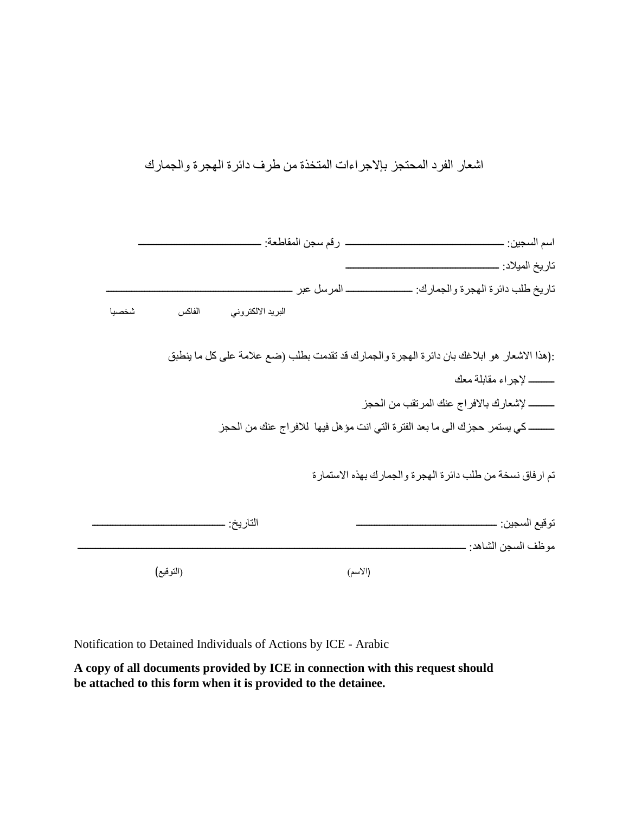اشعار الفرد المحتجز بإلاجراءات المتخذة من طرف دائرة الھجرة والجمارك

| _ رقم سجن المقاطعة: _                                                                        |                      |
|----------------------------------------------------------------------------------------------|----------------------|
|                                                                                              |                      |
| تاريخ طلب دائرة الهجرة والجمارك: ـ                                                           |                      |
| الفاكس<br>البريد الالكتروني<br>شخصيا                                                         |                      |
| :(هذا الاشعار هو ابلاغك بان دائرة الهجرة والجمارك قد تقدمت بطلب (ضع علامة على كل ما ينطبق    |                      |
|                                                                                              |                      |
|                                                                                              |                      |
| ــــــــــــــ كي يستمر  حجز ك الى ما بعد الفتر ة التي انت مؤ هل فيها  للافر اج عنك من الحجز |                      |
| تم ارفاق نسخة من طلب دائرة الهجرة والجمارك بهذه الاستمارة                                    |                      |
| الناريخ ِ ـ                                                                                  |                      |
|                                                                                              | موظف السجن الشاهد: _ |
| (التوقيع)<br>(الأسم)                                                                         |                      |

Notification to Detained Individuals of Actions by ICE - Arabic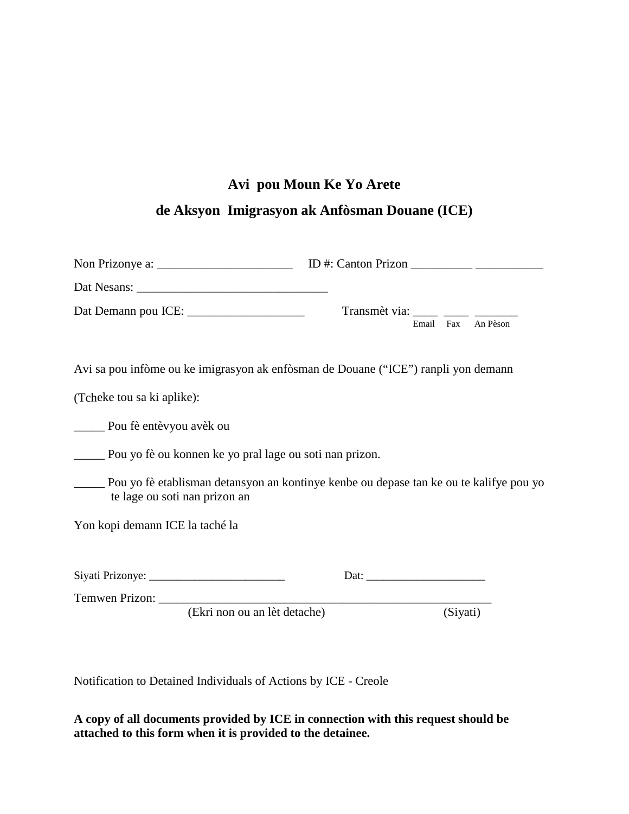# **Avi pou Moun Ke Yo Arete**

# **de Aksyon Imigrasyon ak Anfòsman Douane (ICE)**

|                                                                                    | Transmèt via: _____ ____ _____<br>Email Fax An Pèson                                          |
|------------------------------------------------------------------------------------|-----------------------------------------------------------------------------------------------|
| Avi sa pou infòme ou ke imigrasyon ak enfòsman de Douane ("ICE") ranpli yon demann |                                                                                               |
| (Tcheke tou sa ki aplike):                                                         |                                                                                               |
| <u>__</u> ______ Pou fè entèvyou avèk ou                                           |                                                                                               |
| Pou yo fè ou konnen ke yo pral lage ou soti nan prizon.                            |                                                                                               |
| te lage ou soti nan prizon an                                                      | ______ Pou yo fè etablisman detansyon an kontinye kenbe ou depase tan ke ou te kalifye pou yo |
| Yon kopi demann ICE la taché la                                                    |                                                                                               |
|                                                                                    |                                                                                               |
| (Ekri non ou an lèt detache)                                                       | (Siyati)                                                                                      |

Notification to Detained Individuals of Actions by ICE - Creole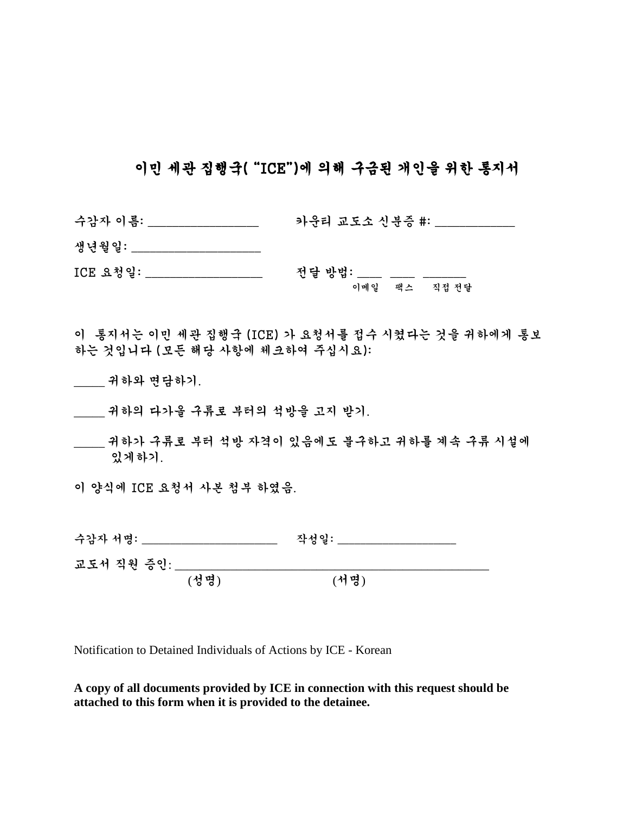### 이민 세관 집행국( "ICE")에 의해 구금된 개인을 위한 통지서

| 수감자 이름:                        | 카운티 교도소 신분증 #:                                     |
|--------------------------------|----------------------------------------------------|
| 생년월일:                          |                                                    |
| ICE 요청일:                       | 전달 방법: ____<br>이메일 팩스 직접전달                         |
| 하는 것입니다 (모든 해당 사항에 체크하여 주십시요): | 이 - 통지서는 이민 세관 집행국 (ICE) 가 요청서를 접수 시켰다는 것을 귀하에게 통보 |
| _ 귀하와 면담하기.                    |                                                    |

- \_\_\_\_\_ 귀하의 다가올 구류로 부터의 석방을 고지 받기.
- \_\_\_\_\_ 귀하가 구류로 부터 석방 자격이 있음에도 불구하고 귀하를 계속 구류 시설에 있게하기.

이 양식에 ICE 요청서 사본 첨부 하였음.

| 수감자 서명:    | 작성일: |
|------------|------|
| 교도서 직원 증인: |      |

(성명) (서명)

Notification to Detained Individuals of Actions by ICE - Korean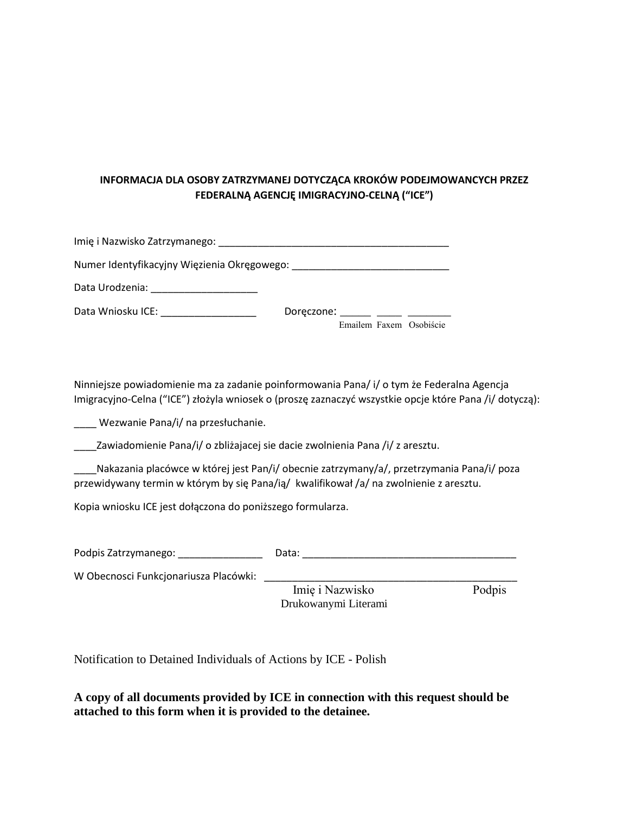#### **INFORMACJA DLA OSOBY ZATRZYMANEJ DOTYCZĄCA KROKÓW PODEJMOWANCYCH PRZEZ FEDERALNĄ AGENCJĘ IMIGRACYJNO-CELNĄ ("ICE")**

| Data Urodzenia: ________________________                                                                       |                              |  |                         |
|----------------------------------------------------------------------------------------------------------------|------------------------------|--|-------------------------|
| Data Wniosku ICE: National Annual Annual Annual Annual Annual Annual Annual Annual Annual Annual Annual Annual | Doreczone: ______ ____ _____ |  | Emailem Faxem Osobiście |

Ninniejsze powiadomienie ma za zadanie poinformowania Pana/ i/ o tym że Federalna Agencja Imigracyjno-Celna ("ICE") złożyla wniosek o (proszę zaznaczyć wszystkie opcje które Pana /i/ dotyczą):

\_\_\_\_ Wezwanie Pana/i/ na przesłuchanie.

\_\_\_\_Zawiadomienie Pana/i/ o zbliżajacej sie dacie zwolnienia Pana /i/ z aresztu.

\_\_\_\_Nakazania placówce w której jest Pan/i/ obecnie zatrzymany/a/, przetrzymania Pana/i/ poza przewidywany termin w którym by się Pana/ią/ kwalifikował /a/ na zwolnienie z aresztu.

Kopia wniosku ICE jest dołączona do poniższego formularza.

| Podpis Zatrzymanego:                  | Data:                                   |        |
|---------------------------------------|-----------------------------------------|--------|
| W Obecnosci Funkcjonariusza Placówki: | Imię i Nazwisko<br>Drukowanymi Literami | Podpis |

Notification to Detained Individuals of Actions by ICE - Polish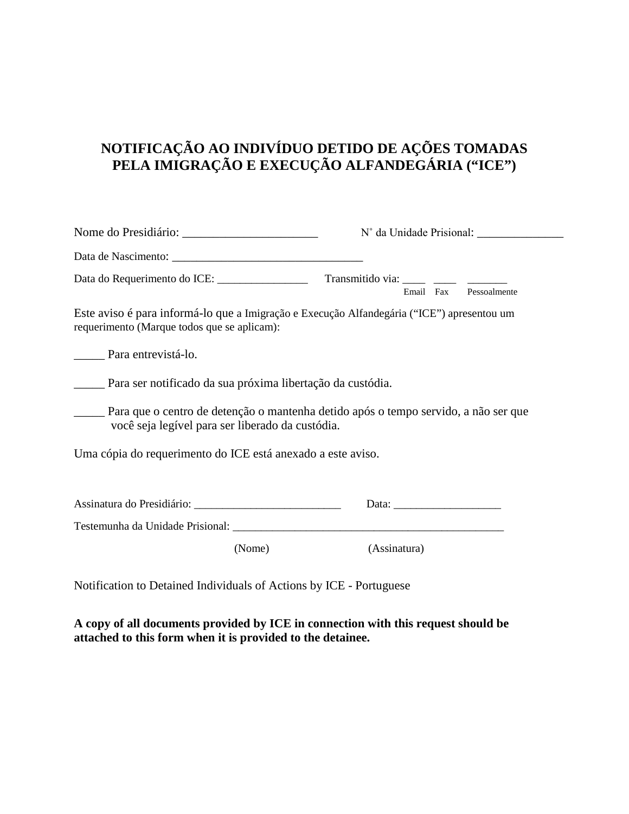### **NOTIFICAÇÃO AO INDIVÍDUO DETIDO DE AÇÕES TOMADAS PELA IMIGRAÇÃO E EXECUÇÃO ALFANDEGÁRIA ("ICE")**

|                                                                                                                                           |              |  | Email Fax Pessoalmente |
|-------------------------------------------------------------------------------------------------------------------------------------------|--------------|--|------------------------|
| Este aviso é para informá-lo que a Imigração e Execução Alfandegária ("ICE") apresentou um<br>requerimento (Marque todos que se aplicam): |              |  |                        |
| Para entrevistá-lo.                                                                                                                       |              |  |                        |
| Para ser notificado da sua próxima libertação da custódia.                                                                                |              |  |                        |
| Para que o centro de detenção o mantenha detido após o tempo servido, a não ser que<br>você seja legível para ser liberado da custódia.   |              |  |                        |
| Uma cópia do requerimento do ICE está anexado a este aviso.                                                                               |              |  |                        |
|                                                                                                                                           |              |  |                        |
|                                                                                                                                           |              |  |                        |
|                                                                                                                                           |              |  |                        |
| (Nome)                                                                                                                                    | (Assinatura) |  |                        |
| Notification to Detained Individuals of Actions by ICE - Portuguese                                                                       |              |  |                        |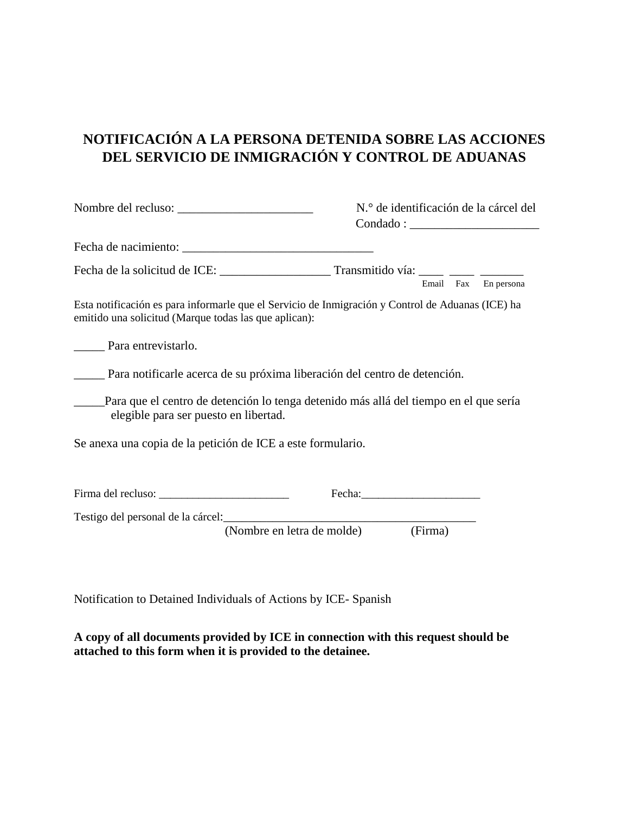# **NOTIFICACIÓN A LA PERSONA DETENIDA SOBRE LAS ACCIONES DEL SERVICIO DE INMIGRACIÓN Y CONTROL DE ADUANAS**

|                                                                                                                                                            | N.º de identificación de la cárcel del |  |  |
|------------------------------------------------------------------------------------------------------------------------------------------------------------|----------------------------------------|--|--|
|                                                                                                                                                            |                                        |  |  |
|                                                                                                                                                            |                                        |  |  |
|                                                                                                                                                            | Email Fax En persona                   |  |  |
| Esta notificación es para informarle que el Servicio de Inmigración y Control de Aduanas (ICE) ha<br>emitido una solicitud (Marque todas las que aplican): |                                        |  |  |
| Para entrevistarlo.                                                                                                                                        |                                        |  |  |
| <b>Example 2018</b> Para notificarle acerca de su próxima liberación del centro de detención.                                                              |                                        |  |  |
| Para que el centro de detención lo tenga detenido más allá del tiempo en el que sería<br>elegible para ser puesto en libertad.                             |                                        |  |  |
| Se anexa una copia de la petición de ICE a este formulario.                                                                                                |                                        |  |  |
|                                                                                                                                                            |                                        |  |  |
|                                                                                                                                                            |                                        |  |  |
| (Nombre en letra de molde)                                                                                                                                 | (Firma)                                |  |  |

Notification to Detained Individuals of Actions by ICE- Spanish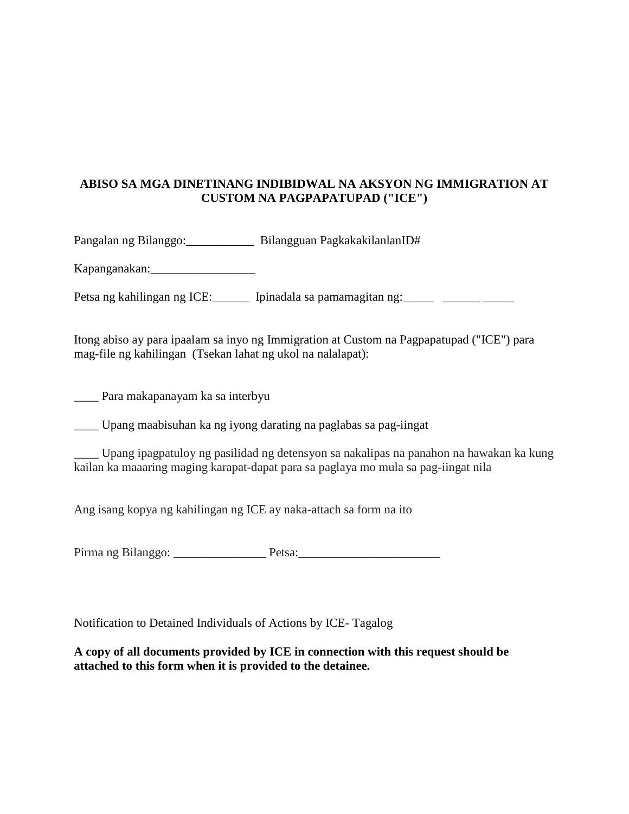#### **ABISO SA MGA DINETINANG INDIBIDWAL NA AKSYON NG IMMIGRATION AT CUSTOM NA PAGPAPATUPAD ("ICE")**

Pangalan ng Bilanggo:\_\_\_\_\_\_\_\_\_\_\_ Bilangguan PagkakakilanlanID#

Kapanganakan:\_\_\_\_\_\_\_\_\_\_\_\_\_\_\_\_\_

Petsa ng kahilingan ng ICE:\_\_\_\_\_\_\_ Ipinadala sa pamamagitan ng:\_\_\_\_\_\_ \_\_\_\_\_\_\_\_\_\_

Itong abiso ay para ipaalam sa inyo ng Immigration at Custom na Pagpapatupad ("ICE") para mag-file ng kahilingan (Tsekan lahat ng ukol na nalalapat):

\_\_\_\_ Para makapanayam ka sa interbyu

\_\_\_\_ Upang maabisuhan ka ng iyong darating na paglabas sa pag-iingat

\_\_\_\_ Upang ipagpatuloy ng pasilidad ng detensyon sa nakalipas na panahon na hawakan ka kung kailan ka maaaring maging karapat-dapat para sa paglaya mo mula sa pag-iingat nila

Ang isang kopya ng kahilingan ng ICE ay naka-attach sa form na ito

Pirma ng Bilanggo: Petsa:

Notification to Detained Individuals of Actions by ICE- Tagalog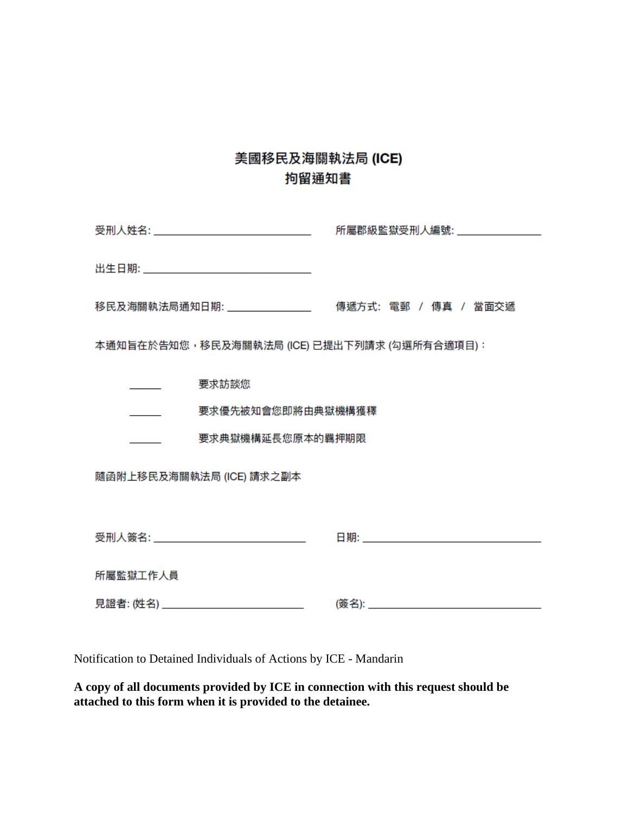# 美國移民及海關執法局 (ICE) 拘留通知書

| 受刑人姓名: __________________________________    | 所屬郡級監獄受刑人編號:__________________ |  |  |
|----------------------------------------------|--------------------------------|--|--|
|                                              |                                |  |  |
|                                              |                                |  |  |
| 移民及海關執法局通知日期: __________________             | 傳遞方式: 電郵 / 傳真 / 當面交遞           |  |  |
| 本通知旨在於告知您,移民及海關執法局 (ICE) 已提出下列請求 (勾選所有合適項目): |                                |  |  |
| 要求訪談您                                        |                                |  |  |
| 要求優先被知會您即將由典獄機構獲釋                            |                                |  |  |
| 要求典獄機構延長您原本的羈押期限                             |                                |  |  |
| 隨函附上移民及海關執法局 (ICE) 請求之副本                     |                                |  |  |
|                                              |                                |  |  |
| 受刑人簽名: _________________________________     |                                |  |  |
| 所屬監獄工作人員                                     |                                |  |  |
| 見證者: (姓名) _________________________________  |                                |  |  |

Notification to Detained Individuals of Actions by ICE - Mandarin